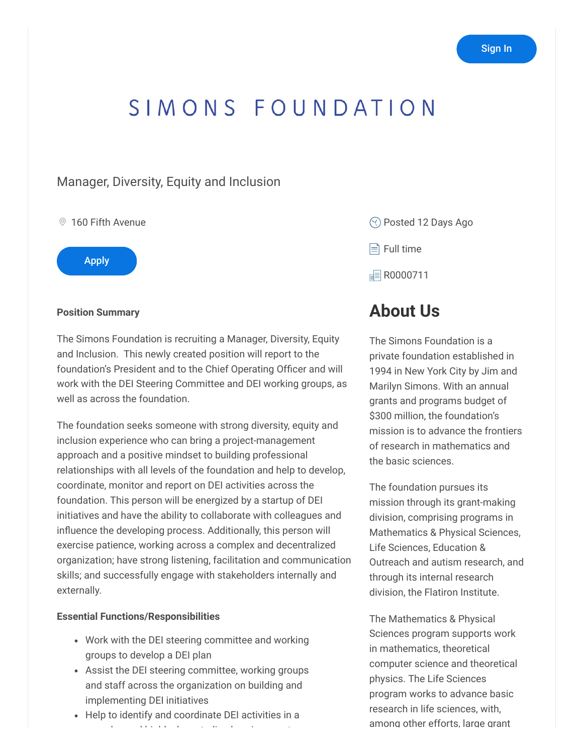# SIMONS FOUNDATION

### Manager, Diversity, Equity and Inclusion

#### <sup>◎</sup> 160 Fifth Avenue



#### **Position Summary**

The Simons Foundation is recruiting a Manager, Diversity, Equity and Inclusion. This newly created position will report to the foundation's President and to the Chief Operating Officer and will work with the DEI Steering Committee and DEI working groups, as well as across the foundation.

The foundation seeks someone with strong diversity, equity and inclusion experience who can bring a project-management approach and a positive mindset to building professional relationships with all levels of the foundation and help to develop, coordinate, monitor and report on DEI activities across the foundation. This person will be energized by a startup of DEI initiatives and have the ability to collaborate with colleagues and influence the developing process. Additionally, this person will exercise patience, working across a complex and decentralized organization; have strong listening, facilitation and communication skills; and successfully engage with stakeholders internally and externally.

#### **Essential Functions/Responsibilities**

- Work with the DEI steering committee and working groups to develop a DEI plan
- Assist the DEI steering committee, working groups and staff across the organization on building and implementing DEI initiatives
- Help to identify and coordinate DEI activities in a l d hi hl d hi hl d t li d i t li d i t li d i t li d i t li d i t li d i t li d i t li d i t li d i t li d i<br>Li d i t li d i t li d i t li d i t li d i t li d i t li d i t li d i t li d i t li d i t li d i t li d i t li

Posted 12 Days Ago

 $\equiv$  Full time

**F** R0000711

# **About Us**

The Simons Foundation is a private foundation established in 1994 in New York City by Jim and Marilyn Simons. With an annual grants and programs budget of \$300 million, the foundation's mission is to advance the frontiers of research in mathematics and the basic sciences.

The foundation pursues its mission through its grant-making division, comprising programs in Mathematics & Physical Sciences, Life Sciences, Education & Outreach and autism research, and through its internal research division, the Flatiron Institute.

The Mathematics & Physical Sciences program supports work in mathematics, theoretical computer science and theoretical physics. The Life Sciences program works to advance basic research in life sciences, with, among other efforts, large grant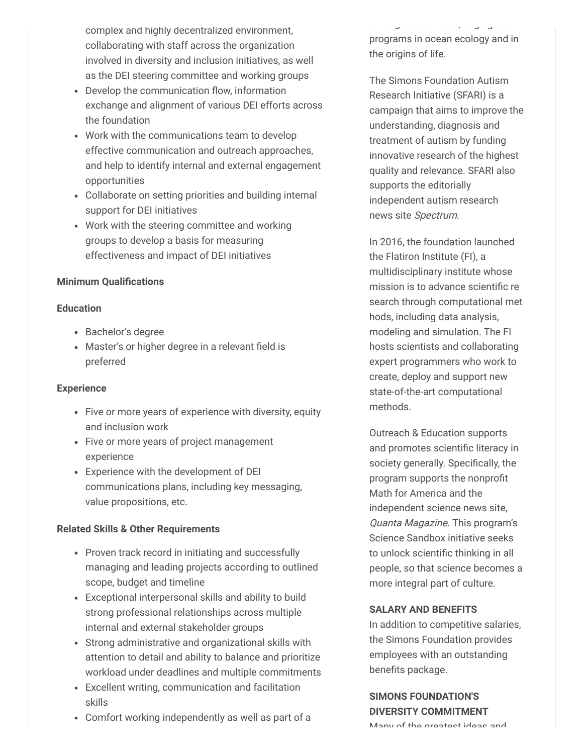complex and highly decentralized environment, collaborating with staff across the organization involved in diversity and inclusion initiatives, as well as the DEI steering committee and working groups

- Develop the communication flow, information exchange and alignment of various DEI efforts across the foundation
- Work with the communications team to develop effective communication and outreach approaches, and help to identify internal and external engagement opportunities
- Collaborate on setting priorities and building internal support for DEI initiatives
- Work with the steering committee and working groups to develop a basis for measuring effectiveness and impact of DEI initiatives

#### **Minimum Qualifications**

#### **Education**

- Bachelor's degree
- Master's or higher degree in a relevant field is preferred

#### **Experience**

- Five or more years of experience with diversity, equity and inclusion work
- Five or more years of project management experience
- Experience with the development of DEI communications plans, including key messaging, value propositions, etc.

#### **Related Skills & Other Requirements**

- Proven track record in initiating and successfully managing and leading projects according to outlined scope, budget and timeline
- Exceptional interpersonal skills and ability to build strong professional relationships across multiple internal and external stakeholder groups
- Strong administrative and organizational skills with attention to detail and ability to balance and prioritize workload under deadlines and multiple commitments
- Excellent writing, communication and facilitation skills
- Comfort working independently as well as part of a

a o g ot e e o ts, a ge g a t programs in ocean ecology and in the origins of life.

The Simons Foundation Autism Research Initiative (SFARI) is a campaign that aims to improve the understanding, diagnosis and treatment of autism by funding innovative research of the highest quality and relevance. SFARI also supports the editorially independent autism research news site Spectrum.

In 2016, the foundation launched the Flatiron Institute (FI), a multidisciplinary institute whose mission is to advance scientific re search through computational met hods, including data analysis, modeling and simulation. The FI hosts scientists and collaborating expert programmers who work to create, deploy and support new state-of-the-art computational methods.

Outreach & Education supports and promotes scientific literacy in society generally. Specifically, the program supports the nonprofit Math for America and the independent science news site, Quanta Magazine. This program's Science Sandbox initiative seeks to unlock scientific thinking in all people, so that science becomes a more integral part of culture.

#### **SALARY AND BENEFITS**

In addition to competitive salaries, the Simons Foundation provides employees with an outstanding benefits package.

## **SIMONS FOUNDATION'S DIVERSITY COMMITMENT**

Many of the greatest ideas and